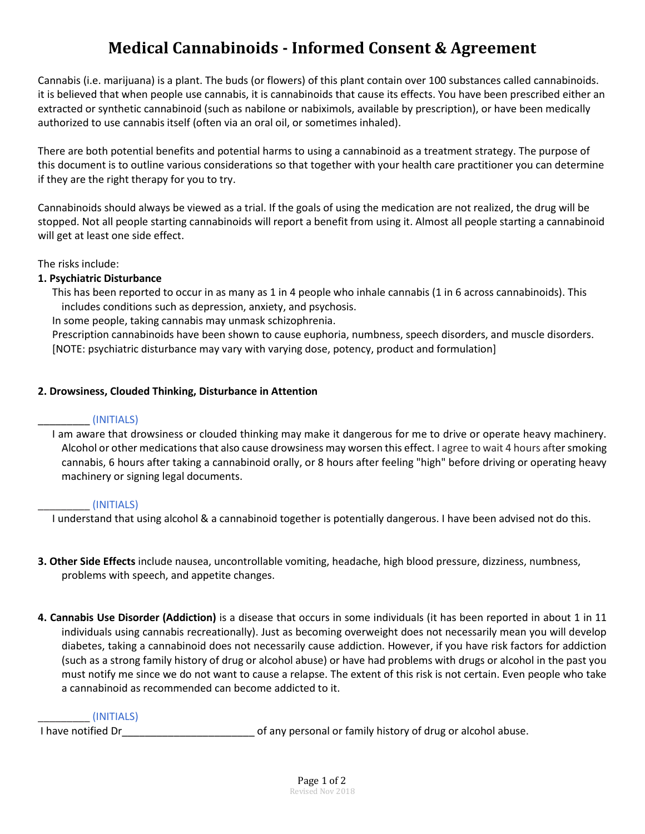# **Medical Cannabinoids - Informed Consent & Agreement**

Cannabis (i.e. marijuana) is a plant. The buds (or flowers) of this plant contain over 100 substances called cannabinoids. it is believed that when people use cannabis, it is cannabinoids that cause its effects. You have been prescribed either an extracted or synthetic cannabinoid (such as nabilone or nabiximols, available by prescription), or have been medically authorized to use cannabis itself (often via an oral oil, or sometimes inhaled).

There are both potential benefits and potential harms to using a cannabinoid as a treatment strategy. The purpose of this document is to outline various considerations so that together with your health care practitioner you can determine if they are the right therapy for you to try.

Cannabinoids should always be viewed as a trial. If the goals of using the medication are not realized, the drug will be stopped. Not all people starting cannabinoids will report a benefit from using it. Almost all people starting a cannabinoid will get at least one side effect.

The risks include:

## **1. Psychiatric Disturbance**

This has been reported to occur in as many as 1 in 4 people who inhale cannabis (1 in 6 across cannabinoids). This includes conditions such as depression, anxiety, and psychosis.

In some people, taking cannabis may unmask schizophrenia.

Prescription cannabinoids have been shown to cause euphoria, numbness, speech disorders, and muscle disorders. [NOTE: psychiatric disturbance may vary with varying dose, potency, product and formulation]

### **2. Drowsiness, Clouded Thinking, Disturbance in Attention**

#### \_\_\_\_\_\_\_\_\_ (INITIALS)

I am aware that drowsiness or clouded thinking may make it dangerous for me to drive or operate heavy machinery. Alcohol or other medications that also cause drowsiness may worsen this effect. I agree to wait 4 hours after smoking cannabis, 6 hours after taking a cannabinoid orally, or 8 hours after feeling "high" before driving or operating heavy machinery or signing legal documents.

#### \_\_\_\_\_\_\_\_\_ (INITIALS)

I understand that using alcohol & a cannabinoid together is potentially dangerous. I have been advised not do this.

- **3. Other Side Effects** include nausea, uncontrollable vomiting, headache, high blood pressure, dizziness, numbness, problems with speech, and appetite changes.
- **4. Cannabis Use Disorder (Addiction)** is a disease that occurs in some individuals (it has been reported in about 1 in 11 individuals using cannabis recreationally). Just as becoming overweight does not necessarily mean you will develop diabetes, taking a cannabinoid does not necessarily cause addiction. However, if you have risk factors for addiction (such as a strong family history of drug or alcohol abuse) or have had problems with drugs or alcohol in the past you must notify me since we do not want to cause a relapse. The extent of this risk is not certain. Even people who take a cannabinoid as recommended can become addicted to it.

#### \_\_\_\_\_\_\_\_\_ (INITIALS)

I have notified Dr\_\_\_\_\_\_\_\_\_\_\_\_\_\_\_\_\_\_\_\_\_\_\_ of any personal or family history of drug or alcohol abuse.